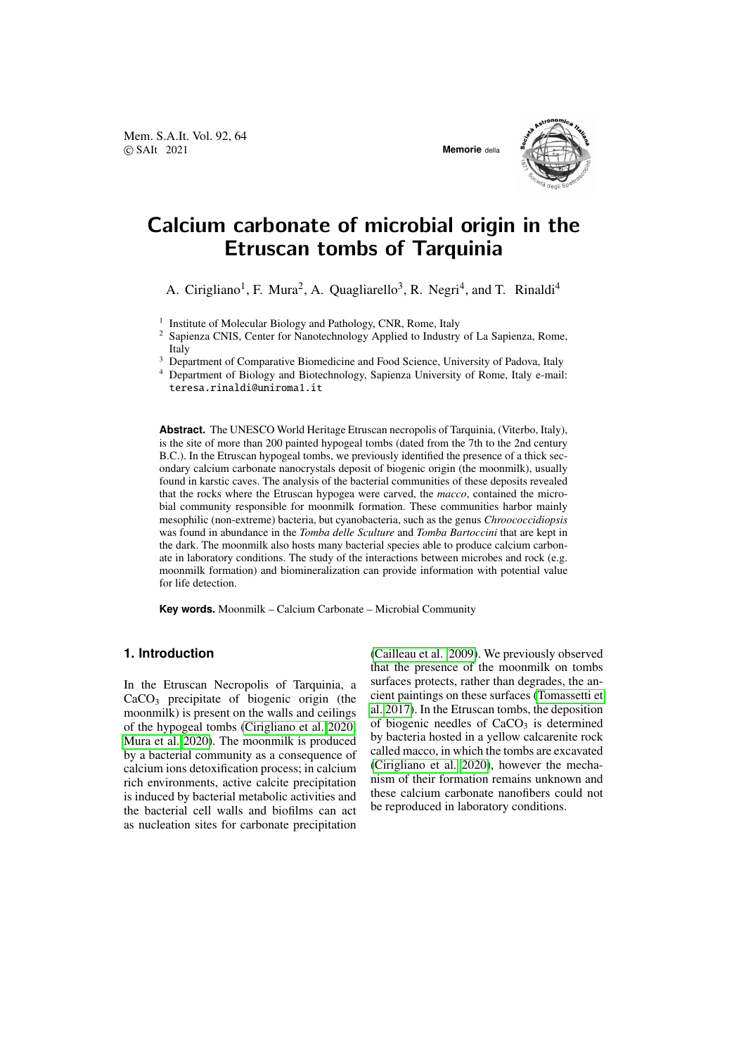Mem. S.A.It. Vol. 92, 64 © SAIt 2021 **Memorie** della



# Calcium carbonate of microbial origin in the Etruscan tombs of Tarquinia

A. Cirigliano<sup>1</sup>, F. Mura<sup>2</sup>, A. Quagliarello<sup>3</sup>, R. Negri<sup>4</sup>, and T. Rinaldi<sup>4</sup>

<sup>1</sup> Institute of Molecular Biology and Pathology, CNR, Rome, Italy

<sup>2</sup> Sapienza CNIS, Center for Nanotechnology Applied to Industry of La Sapienza, Rome, Italy

<sup>3</sup> Department of Comparative Biomedicine and Food Science, University of Padova, Italy

<sup>4</sup> Department of Biology and Biotechnology, Sapienza University of Rome, Italy e-mail: teresa.rinaldi@uniroma1.it

**Abstract.** The UNESCO World Heritage Etruscan necropolis of Tarquinia, (Viterbo, Italy), is the site of more than 200 painted hypogeal tombs (dated from the 7th to the 2nd century B.C.). In the Etruscan hypogeal tombs, we previously identified the presence of a thick secondary calcium carbonate nanocrystals deposit of biogenic origin (the moonmilk), usually found in karstic caves. The analysis of the bacterial communities of these deposits revealed that the rocks where the Etruscan hypogea were carved, the *macco*, contained the microbial community responsible for moonmilk formation. These communities harbor mainly mesophilic (non-extreme) bacteria, but cyanobacteria, such as the genus *Chroococcidiopsis* was found in abundance in the *Tomba delle Sculture* and *Tomba Bartoccini* that are kept in the dark. The moonmilk also hosts many bacterial species able to produce calcium carbonate in laboratory conditions. The study of the interactions between microbes and rock (e.g. moonmilk formation) and biomineralization can provide information with potential value for life detection.

**Key words.** Moonmilk – Calcium Carbonate – Microbial Community

# **1. Introduction**

In the Etruscan Necropolis of Tarquinia, a  $CaCO<sub>3</sub>$  precipitate of biogenic origin (the moonmilk) is present on the walls and ceilings of the hypogeal tombs [\(Cirigliano et al. 2020;](#page-2-0) [Mura et al. 2020\)](#page-2-1). The moonmilk is produced by a bacterial community as a consequence of calcium ions detoxification process; in calcium rich environments, active calcite precipitation is induced by bacterial metabolic activities and the bacterial cell walls and biofilms can act as nucleation sites for carbonate precipitation [\(Cailleau et al. 2009\)](#page-2-2). We previously observed that the presence of the moonmilk on tombs surfaces protects, rather than degrades, the ancient paintings on these surfaces [\(Tomassetti et](#page-2-3) [al. 2017\)](#page-2-3). In the Etruscan tombs, the deposition of biogenic needles of  $CaCO<sub>3</sub>$  is determined by bacteria hosted in a yellow calcarenite rock called macco, in which the tombs are excavated [\(Cirigliano et al. 2020\)](#page-2-0), however the mechanism of their formation remains unknown and these calcium carbonate nanofibers could not be reproduced in laboratory conditions.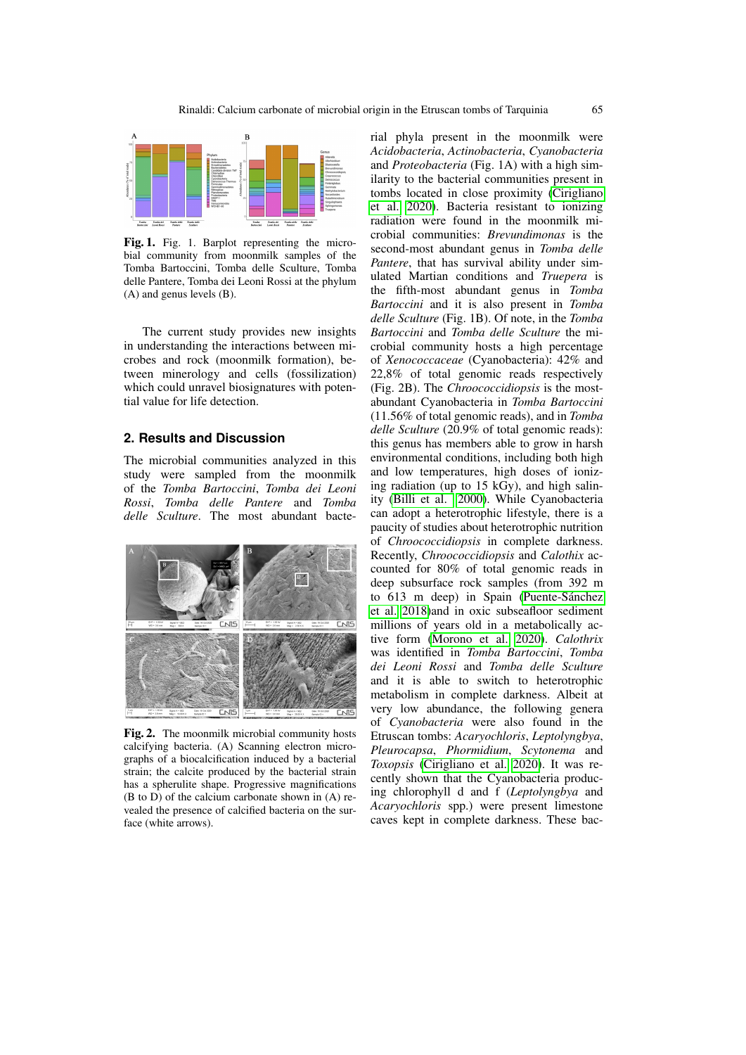

Fig. 1. Fig. 1. Barplot representing the microbial community from moonmilk samples of the Tomba Bartoccini, Tomba delle Sculture, Tomba delle Pantere, Tomba dei Leoni Rossi at the phylum (A) and genus levels (B).

The current study provides new insights in understanding the interactions between microbes and rock (moonmilk formation), between minerology and cells (fossilization) which could unravel biosignatures with potential value for life detection.

## **2. Results and Discussion**

The microbial communities analyzed in this study were sampled from the moonmilk of the *Tomba Bartoccini*, *Tomba dei Leoni Rossi*, *Tomba delle Pantere* and *Tomba delle Sculture*. The most abundant bacte-



Fig. 2. The moonmilk microbial community hosts calcifying bacteria. (A) Scanning electron micrographs of a biocalcification induced by a bacterial strain; the calcite produced by the bacterial strain has a spherulite shape. Progressive magnifications (B to D) of the calcium carbonate shown in (A) revealed the presence of calcified bacteria on the surface (white arrows).

rial phyla present in the moonmilk were *Acidobacteria*, *Actinobacteria*, *Cyanobacteria* and *Proteobacteria* (Fig. 1A) with a high similarity to the bacterial communities present in tombs located in close proximity [\(Cirigliano](#page-2-0) [et al. 2020\)](#page-2-0). Bacteria resistant to ionizing radiation were found in the moonmilk microbial communities: *Brevundimonas* is the second-most abundant genus in *Tomba delle Pantere*, that has survival ability under simulated Martian conditions and *Truepera* is the fifth-most abundant genus in *Tomba Bartoccini* and it is also present in *Tomba delle Sculture* (Fig. 1B). Of note, in the *Tomba Bartoccini* and *Tomba delle Sculture* the microbial community hosts a high percentage of *Xenococcaceae* (Cyanobacteria): 42% and 22,8% of total genomic reads respectively (Fig. 2B). The *Chroococcidiopsis* is the mostabundant Cyanobacteria in *Tomba Bartoccini* (11.56% of total genomic reads), and in *Tomba delle Sculture* (20.9% of total genomic reads): this genus has members able to grow in harsh environmental conditions, including both high and low temperatures, high doses of ionizing radiation (up to 15 kGy), and high salinity [\(Billi et al. 2000\)](#page-2-4). While Cyanobacteria can adopt a heterotrophic lifestyle, there is a paucity of studies about heterotrophic nutrition of *Chroococcidiopsis* in complete darkness. Recently, *Chroococcidiopsis* and *Calothix* accounted for 80% of total genomic reads in deep subsurface rock samples (from 392 m to 613 m deep) in Spain (Puente-Sánchez [et al. 2018\)](#page-2-5)and in oxic subseafloor sediment millions of years old in a metabolically active form [\(Morono et al. 2020\)](#page-2-6). *Calothrix* was identified in *Tomba Bartoccini*, *Tomba dei Leoni Rossi* and *Tomba delle Sculture* and it is able to switch to heterotrophic metabolism in complete darkness. Albeit at very low abundance, the following genera of *Cyanobacteria* were also found in the Etruscan tombs: *Acaryochloris*, *Leptolyngbya*, *Pleurocapsa*, *Phormidium*, *Scytonema* and *Toxopsis* [\(Cirigliano et al. 2020\)](#page-2-0). It was recently shown that the Cyanobacteria producing chlorophyll d and f (*Leptolyngbya* and *Acaryochloris* spp.) were present limestone caves kept in complete darkness. These bac